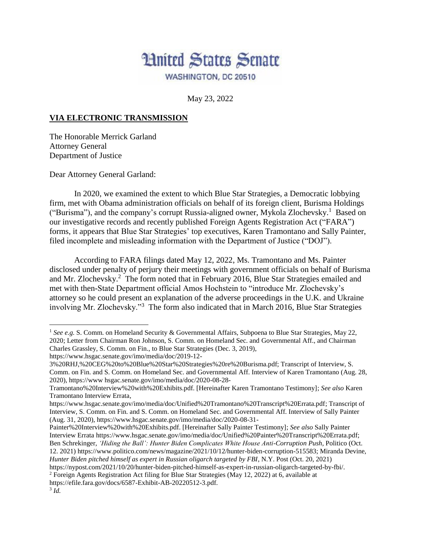

May 23, 2022

## **VIA ELECTRONIC TRANSMISSION**

The Honorable Merrick Garland Attorney General Department of Justice

Dear Attorney General Garland:

In 2020, we examined the extent to which Blue Star Strategies, a Democratic lobbying firm, met with Obama administration officials on behalf of its foreign client, Burisma Holdings ("Burisma"), and the company's corrupt Russia-aligned owner, Mykola Zlochevsky.<sup>1</sup> Based on our investigative records and recently published Foreign Agents Registration Act ("FARA") forms, it appears that Blue Star Strategies' top executives, Karen Tramontano and Sally Painter, filed incomplete and misleading information with the Department of Justice ("DOJ").

According to FARA filings dated May 12, 2022, Ms. Tramontano and Ms. Painter disclosed under penalty of perjury their meetings with government officials on behalf of Burisma and Mr. Zlochevsky.<sup>2</sup> The form noted that in February 2016, Blue Star Strategies emailed and met with then-State Department official Amos Hochstein to "introduce Mr. Zlochevsky's attorney so he could present an explanation of the adverse proceedings in the U.K. and Ukraine involving Mr. Zlochevsky."<sup>3</sup> The form also indicated that in March 2016, Blue Star Strategies

 $\overline{a}$ 

<sup>&</sup>lt;sup>1</sup> See e.g. S. Comm. on Homeland Security & Governmental Affairs, Subpoena to Blue Star Strategies, May 22, 2020; Letter from Chairman Ron Johnson, S. Comm. on Homeland Sec. and Governmental Aff., and Chairman Charles Grassley, S. Comm. on Fin., to Blue Star Strategies (Dec. 3, 2019), https://www.hsgac.senate.gov/imo/media/doc/2019-12-

<sup>3%20</sup>RHJ,%20CEG%20to%20Blue%20Star%20Strategies%20re%20Burisma.pdf; Transcript of Interview, S. Comm. on Fin. and S. Comm. on Homeland Sec. and Governmental Aff. Interview of Karen Tramontano (Aug. 28, 2020), https://www hsgac.senate.gov/imo/media/doc/2020-08-28-

Tramontano%20Interview%20with%20Exhibits.pdf. [Hereinafter Karen Tramontano Testimony]; *See also* Karen Tramontano Interview Errata,

https://www.hsgac.senate.gov/imo/media/doc/Unified%20Tramontano%20Transcript%20Errata.pdf; Transcript of Interview, S. Comm. on Fin. and S. Comm. on Homeland Sec. and Governmental Aff. Interview of Sally Painter (Aug. 31, 2020), https://www.hsgac.senate.gov/imo/media/doc/2020-08-31-

Painter%20Interview%20with%20Exhibits.pdf. [Hereinafter Sally Painter Testimony]; *See also* Sally Painter Interview Errata https://www.hsgac.senate.gov/imo/media/doc/Unified%20Painter%20Transcript%20Errata.pdf; Ben Schrekinger, *'Hiding the Ball': Hunter Biden Complicates White House Anti-Corruption Push*, Politico (Oct. 12. 2021) https://www.politico.com/news/magazine/2021/10/12/hunter-biden-corruption-515583; Miranda Devine,

*Hunter Biden pitched himself as expert in Russian oligarch targeted by FBI*, N.Y. Post (Oct. 20, 2021) https://nypost.com/2021/10/20/hunter-biden-pitched-himself-as-expert-in-russian-oligarch-targeted-by-fbi/.

<sup>2</sup> Foreign Agents Registration Act filing for Blue Star Strategies (May 12, 2022) at 6, available at https://efile.fara.gov/docs/6587-Exhibit-AB-20220512-3.pdf.

<sup>3</sup> *Id.*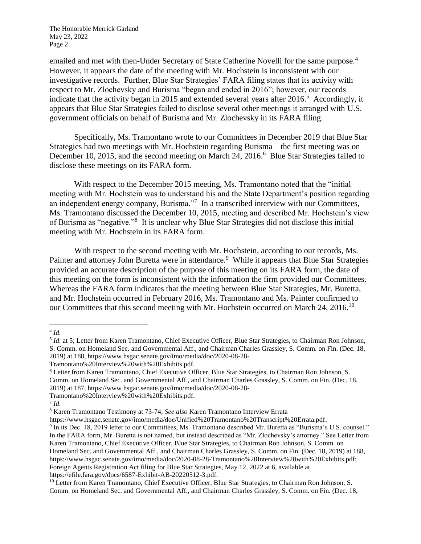The Honorable Merrick Garland May 23, 2022 Page 2

emailed and met with then-Under Secretary of State Catherine Novelli for the same purpose.<sup>4</sup> However, it appears the date of the meeting with Mr. Hochstein is inconsistent with our investigative records. Further, Blue Star Strategies' FARA filing states that its activity with respect to Mr. Zlochevsky and Burisma "began and ended in 2016"; however, our records indicate that the activity began in 2015 and extended several years after 2016.<sup>5</sup> Accordingly, it appears that Blue Star Strategies failed to disclose several other meetings it arranged with U.S. government officials on behalf of Burisma and Mr. Zlochevsky in its FARA filing.

Specifically, Ms. Tramontano wrote to our Committees in December 2019 that Blue Star Strategies had two meetings with Mr. Hochstein regarding Burisma—the first meeting was on December 10, 2015, and the second meeting on March 24, 2016.<sup>6</sup> Blue Star Strategies failed to disclose these meetings on its FARA form.

With respect to the December 2015 meeting, Ms. Tramontano noted that the "initial meeting with Mr. Hochstein was to understand his and the State Department's position regarding an independent energy company, Burisma."<sup>7</sup> In a transcribed interview with our Committees, Ms. Tramontano discussed the December 10, 2015, meeting and described Mr. Hochstein's view of Burisma as "negative."<sup>8</sup> It is unclear why Blue Star Strategies did not disclose this initial meeting with Mr. Hochstein in its FARA form.

With respect to the second meeting with Mr. Hochstein, according to our records, Ms. Painter and attorney John Buretta were in attendance.<sup>9</sup> While it appears that Blue Star Strategies provided an accurate description of the purpose of this meeting on its FARA form, the date of this meeting on the form is inconsistent with the information the firm provided our Committees. Whereas the FARA form indicates that the meeting between Blue Star Strategies, Mr. Buretta, and Mr. Hochstein occurred in February 2016, Ms. Tramontano and Ms. Painter confirmed to our Committees that this second meeting with Mr. Hochstein occurred on March 24, 2016.<sup>10</sup>

 $\overline{a}$ 

<sup>4</sup> *Id.*

<sup>&</sup>lt;sup>5</sup> Id. at 5; Letter from Karen Tramontano, Chief Executive Officer, Blue Star Strategies, to Chairman Ron Johnson, S. Comm. on Homeland Sec. and Governmental Aff., and Chairman Charles Grassley, S. Comm. on Fin. (Dec. 18, 2019) at 188, https://www hsgac.senate.gov/imo/media/doc/2020-08-28-

Tramontano%20Interview%20with%20Exhibits.pdf.

<sup>6</sup> Letter from Karen Tramontano, Chief Executive Officer, Blue Star Strategies, to Chairman Ron Johnson, S. Comm. on Homeland Sec. and Governmental Aff., and Chairman Charles Grassley, S. Comm. on Fin. (Dec. 18, 2019) at 187, https://www hsgac.senate.gov/imo/media/doc/2020-08-28-

Tramontano%20Interview%20with%20Exhibits.pdf.

<sup>7</sup> *Id.*

<sup>8</sup> Karen Tramontano Testimony at 73-74; *See also* Karen Tramontano Interview Errata

https://www.hsgac.senate.gov/imo/media/doc/Unified%20Tramontano%20Transcript%20Errata.pdf.

<sup>9</sup> In its Dec. 18, 2019 letter to our Committees, Ms. Tramontano described Mr. Buretta as "Burisma's U.S. counsel." In the FARA form, Mr. Buretta is not named, but instead described as "Mr. Zlochevsky's attorney." See Letter from Karen Tramontano, Chief Executive Officer, Blue Star Strategies, to Chairman Ron Johnson, S. Comm. on Homeland Sec. and Governmental Aff., and Chairman Charles Grassley, S. Comm. on Fin. (Dec. 18, 2019) at 188, https://www.hsgac.senate.gov/imo/media/doc/2020-08-28-Tramontano%20Interview%20with%20Exhibits.pdf; Foreign Agents Registration Act filing for Blue Star Strategies, May 12, 2022 at 6, available at https://efile.fara.gov/docs/6587-Exhibit-AB-20220512-3.pdf.

<sup>&</sup>lt;sup>10</sup> Letter from Karen Tramontano, Chief Executive Officer, Blue Star Strategies, to Chairman Ron Johnson, S. Comm. on Homeland Sec. and Governmental Aff., and Chairman Charles Grassley, S. Comm. on Fin. (Dec. 18,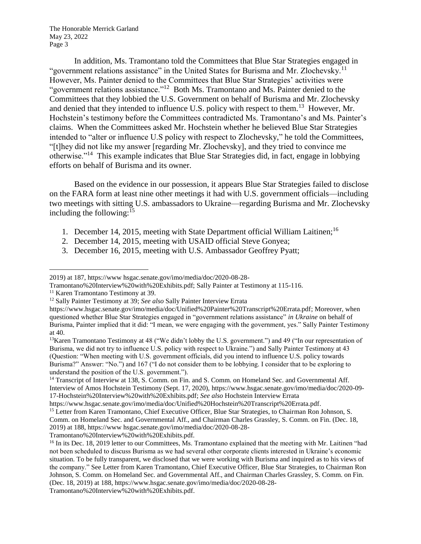The Honorable Merrick Garland May 23, 2022 Page 3

In addition, Ms. Tramontano told the Committees that Blue Star Strategies engaged in "government relations assistance" in the United States for Burisma and Mr. Zlochevsky.<sup>11</sup> However, Ms. Painter denied to the Committees that Blue Star Strategies' activities were "government relations assistance."<sup>12</sup> Both Ms. Tramontano and Ms. Painter denied to the Committees that they lobbied the U.S. Government on behalf of Burisma and Mr. Zlochevsky and denied that they intended to influence U.S. policy with respect to them.<sup>13</sup> However, Mr. Hochstein's testimony before the Committees contradicted Ms. Tramontano's and Ms. Painter's claims. When the Committees asked Mr. Hochstein whether he believed Blue Star Strategies intended to "alter or influence U.S policy with respect to Zlochevsky," he told the Committees, "[t]hey did not like my answer [regarding Mr. Zlochevsky], and they tried to convince me otherwise."<sup>14</sup> This example indicates that Blue Star Strategies did, in fact, engage in lobbying efforts on behalf of Burisma and its owner.

Based on the evidence in our possession, it appears Blue Star Strategies failed to disclose on the FARA form at least nine other meetings it had with U.S. government officials—including two meetings with sitting U.S. ambassadors to Ukraine—regarding Burisma and Mr. Zlochevsky including the following:  $15$ 

- 1. December 14, 2015, meeting with State Department official William Laitinen;<sup>16</sup>
- 2. December 14, 2015, meeting with USAID official Steve Gonyea;
- 3. December 16, 2015, meeting with U.S. Ambassador Geoffrey Pyatt;

Tramontano%20Interview%20with%20Exhibits.pdf.

 $\overline{a}$ 2019) at 187, https://www hsgac.senate.gov/imo/media/doc/2020-08-28-

Tramontano%20Interview%20with%20Exhibits.pdf; Sally Painter at Testimony at 115-116.

<sup>11</sup> Karen Tramontano Testimony at 39.

<sup>12</sup> Sally Painter Testimony at 39; *See also* Sally Painter Interview Errata

https://www.hsgac.senate.gov/imo/media/doc/Unified%20Painter%20Transcript%20Errata.pdf; Moreover, when questioned whether Blue Star Strategies engaged in "government relations assistance" *in Ukraine* on behalf of Burisma, Painter implied that it did: "I mean, we were engaging with the government, yes." Sally Painter Testimony at 40.

<sup>13</sup>Karen Tramontano Testimony at 48 ("We didn't lobby the U.S. government.") and 49 ("In our representation of Burisma, we did not try to influence U.S. policy with respect to Ukraine.") and Sally Painter Testimony at 43 (Question: "When meeting with U.S. government officials, did you intend to influence U.S. policy towards Burisma?" Answer: "No.") and 167 ("I do not consider them to be lobbying. I consider that to be exploring to understand the position of the U.S. government.").

<sup>&</sup>lt;sup>14</sup> Transcript of Interview at 138, S. Comm. on Fin. and S. Comm. on Homeland Sec. and Governmental Aff. Interview of Amos Hochstein Testimony (Sept. 17, 2020), https://www.hsgac.senate.gov/imo/media/doc/2020-09- 17-Hochstein%20Interview%20with%20Exhibits.pdf; *See also* Hochstein Interview Errata

https://www.hsgac.senate.gov/imo/media/doc/Unified%20Hochstein%20Transcript%20Errata.pdf.

<sup>15</sup> Letter from Karen Tramontano, Chief Executive Officer, Blue Star Strategies, to Chairman Ron Johnson, S. Comm. on Homeland Sec. and Governmental Aff., and Chairman Charles Grassley, S. Comm. on Fin. (Dec. 18, 2019) at 188, https://www hsgac.senate.gov/imo/media/doc/2020-08-28-

<sup>&</sup>lt;sup>16</sup> In its Dec. 18, 2019 letter to our Committees, Ms. Tramontano explained that the meeting with Mr. Laitinen "had not been scheduled to discuss Burisma as we had several other corporate clients interested in Ukraine's economic situation. To be fully transparent, we disclosed that we were working with Burisma and inquired as to his views of the company." See Letter from Karen Tramontano, Chief Executive Officer, Blue Star Strategies, to Chairman Ron Johnson, S. Comm. on Homeland Sec. and Governmental Aff., and Chairman Charles Grassley, S. Comm. on Fin. (Dec. 18, 2019) at 188, https://www.hsgac.senate.gov/imo/media/doc/2020-08-28-

Tramontano%20Interview%20with%20Exhibits.pdf.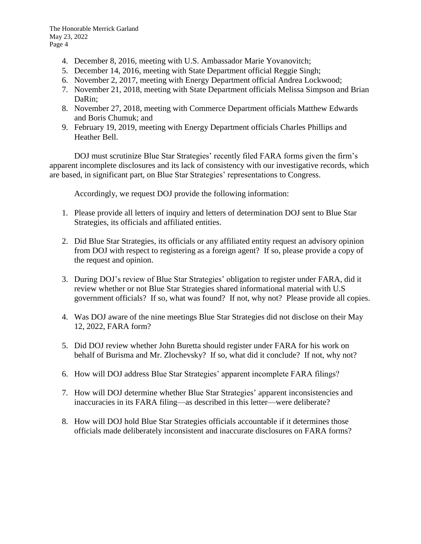- 4. December 8, 2016, meeting with U.S. Ambassador Marie Yovanovitch;
- 5. December 14, 2016, meeting with State Department official Reggie Singh;
- 6. November 2, 2017, meeting with Energy Department official Andrea Lockwood;
- 7. November 21, 2018, meeting with State Department officials Melissa Simpson and Brian DaRin;
- 8. November 27, 2018, meeting with Commerce Department officials Matthew Edwards and Boris Chumuk; and
- 9. February 19, 2019, meeting with Energy Department officials Charles Phillips and Heather Bell.

DOJ must scrutinize Blue Star Strategies' recently filed FARA forms given the firm's apparent incomplete disclosures and its lack of consistency with our investigative records, which are based, in significant part, on Blue Star Strategies' representations to Congress.

Accordingly, we request DOJ provide the following information:

- 1. Please provide all letters of inquiry and letters of determination DOJ sent to Blue Star Strategies, its officials and affiliated entities.
- 2. Did Blue Star Strategies, its officials or any affiliated entity request an advisory opinion from DOJ with respect to registering as a foreign agent? If so, please provide a copy of the request and opinion.
- 3. During DOJ's review of Blue Star Strategies' obligation to register under FARA, did it review whether or not Blue Star Strategies shared informational material with U.S government officials? If so, what was found? If not, why not? Please provide all copies.
- 4. Was DOJ aware of the nine meetings Blue Star Strategies did not disclose on their May 12, 2022, FARA form?
- 5. Did DOJ review whether John Buretta should register under FARA for his work on behalf of Burisma and Mr. Zlochevsky? If so, what did it conclude? If not, why not?
- 6. How will DOJ address Blue Star Strategies' apparent incomplete FARA filings?
- 7. How will DOJ determine whether Blue Star Strategies' apparent inconsistencies and inaccuracies in its FARA filing—as described in this letter—were deliberate?
- 8. How will DOJ hold Blue Star Strategies officials accountable if it determines those officials made deliberately inconsistent and inaccurate disclosures on FARA forms?